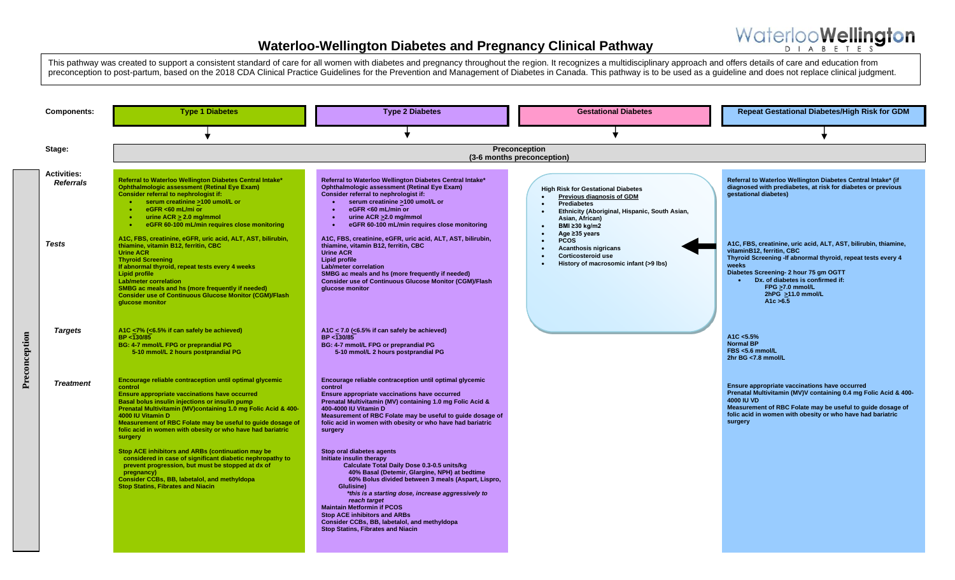Waterloo**Wellington** D I A B F T F S



**Preconception**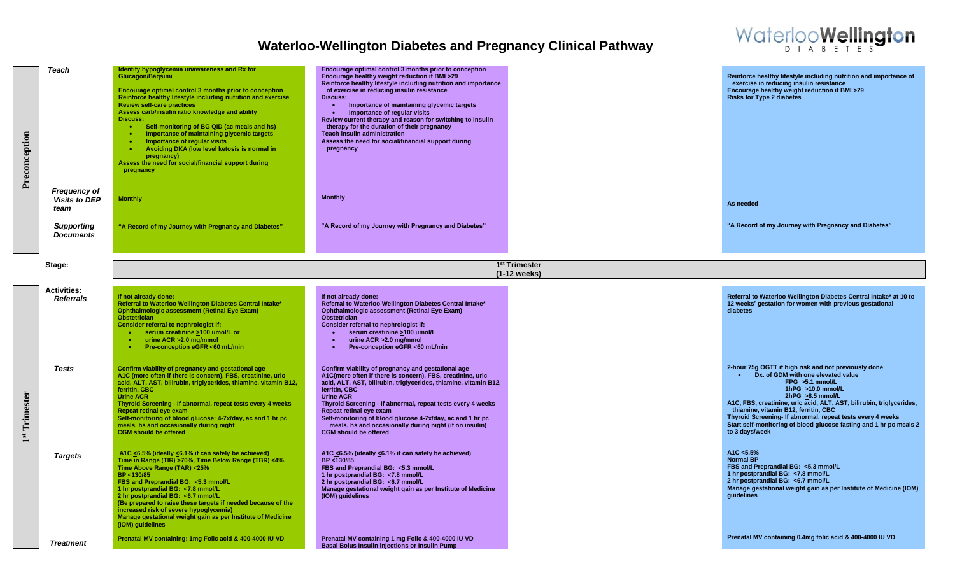

| Preconception | Teach                                        | Identify hypoglycemia unawareness and Rx for<br>Glucagon/Bagsimi<br>Encourage optimal control 3 months prior to conception<br>Reinforce healthy lifestyle including nutrition and exercise<br><b>Review self-care practices</b><br>Assess carb/insulin ratio knowledge and ability<br><b>Discuss:</b><br>Self-monitoring of BG QID (ac meals and hs)<br>$\bullet$<br>Importance of maintaining glycemic targets<br>$\bullet$<br>Importance of regular visits<br>Avoiding DKA (low level ketosis is normal in<br>pregnancy)<br>Assess the need for social/financial support during<br>pregnancy | Encourage optimal control 3 months prior to conception<br>Encourage healthy weight reduction if BMI >29<br>Reinforce healthy lifestyle including nutrition and importance<br>of exercise in reducing insulin resistance<br><b>Discuss:</b><br>Importance of maintaining glycemic targets<br>$\bullet$<br>Importance of regular visits<br>Review current therapy and reason for switching to insulin<br>therapy for the duration of their pregnancy<br><b>Teach insulin administration</b><br>Assess the need for social/financial support during<br>pregnancy |  | Reinforce healthy lifestyle including nutrition and importance of<br>exercise in reducing insulin resistance<br>Encourage healthy weight reduction if BMI >29<br><b>Risks for Type 2 diabetes</b>                                                                                                                                                                                                                                                     |  |
|---------------|----------------------------------------------|------------------------------------------------------------------------------------------------------------------------------------------------------------------------------------------------------------------------------------------------------------------------------------------------------------------------------------------------------------------------------------------------------------------------------------------------------------------------------------------------------------------------------------------------------------------------------------------------|---------------------------------------------------------------------------------------------------------------------------------------------------------------------------------------------------------------------------------------------------------------------------------------------------------------------------------------------------------------------------------------------------------------------------------------------------------------------------------------------------------------------------------------------------------------|--|-------------------------------------------------------------------------------------------------------------------------------------------------------------------------------------------------------------------------------------------------------------------------------------------------------------------------------------------------------------------------------------------------------------------------------------------------------|--|
|               | Frequency of<br><b>Visits to DEP</b><br>team | <b>Monthly</b>                                                                                                                                                                                                                                                                                                                                                                                                                                                                                                                                                                                 | <b>Monthly</b>                                                                                                                                                                                                                                                                                                                                                                                                                                                                                                                                                |  | As needed                                                                                                                                                                                                                                                                                                                                                                                                                                             |  |
|               | <b>Supporting</b><br><b>Documents</b>        | "A Record of my Journey with Pregnancy and Diabetes"                                                                                                                                                                                                                                                                                                                                                                                                                                                                                                                                           | "A Record of my Journey with Pregnancy and Diabetes"                                                                                                                                                                                                                                                                                                                                                                                                                                                                                                          |  | "A Record of my Journey with Pregnancy and Diabetes"                                                                                                                                                                                                                                                                                                                                                                                                  |  |
|               | Stage:                                       | 1 <sup>st</sup> Trimester<br>(1-12 weeks)                                                                                                                                                                                                                                                                                                                                                                                                                                                                                                                                                      |                                                                                                                                                                                                                                                                                                                                                                                                                                                                                                                                                               |  |                                                                                                                                                                                                                                                                                                                                                                                                                                                       |  |
|               | <b>Activities:</b><br><b>Referrals</b>       | If not already done:<br>Referral to Waterloo Wellington Diabetes Central Intake*<br><b>Ophthalmologic assessment (Retinal Eye Exam)</b><br><b>Obstetrician</b><br>Consider referral to nephrologist if:<br>• serum creatinine >100 umol/L or<br>urine ACR > 2.0 mg/mmol<br>$\bullet$<br>Pre-conception eGFR <60 mL/min                                                                                                                                                                                                                                                                         | If not already done:<br>Referral to Waterloo Wellington Diabetes Central Intake*<br><b>Ophthalmologic assessment (Retinal Eye Exam)</b><br>Obstetrician<br>Consider referral to nephrologist if:<br>serum creatinine >100 umol/L<br>$\bullet$<br>urine ACR > 2.0 mg/mmol<br>$\bullet$<br>Pre-conception eGFR <60 mL/min<br>$\bullet$                                                                                                                                                                                                                          |  | Referral to Waterloo Wellington Diabetes Central Intake* at 10 to<br>12 weeks' gestation for women with previous gestational<br>diabetes                                                                                                                                                                                                                                                                                                              |  |
| 1st Trimester | <b>Tests</b>                                 | Confirm viability of pregnancy and gestational age<br>A1C (more often if there is concern), FBS, creatinine, uric<br>acid, ALT, AST, bilirubin, triglycerides, thiamine, vitamin B12,<br>ferritin, CBC<br><b>Urine ACR</b><br>Thyroid Screening - If abnormal, repeat tests every 4 weeks<br><b>Repeat retinal eye exam</b><br>Self-monitoring of blood glucose: 4-7x/day, ac and 1 hr pc<br>meals, hs and occasionally during night<br><b>CGM should be offered</b>                                                                                                                           | Confirm viability of pregnancy and gestational age<br>A1C(more often if there is concern). FBS. creatinine, uric<br>acid, ALT, AST, bilirubin, triglycerides, thiamine, vitamin B12,<br>ferritin, CBC<br><b>Urine ACR</b><br>Thyroid Screening - If abnormal, repeat tests every 4 weeks<br>Repeat retinal eye exam<br>Self-monitoring of blood glucose 4-7x/day, ac and 1 hr pc<br>meals, hs and occasionally during night (if on insulin)<br><b>CGM should be offered</b>                                                                                   |  | 2-hour 75g OGTT if high risk and not previously done<br>Dx. of GDM with one elevated value<br>$\bullet$<br>FPG >5.1 mmol/L<br>1hPG $\geq$ 10.0 mmol/L<br>2hPG $\geq 8.5$ mmol/L<br>A1C, FBS, creatinine, uric acid, ALT, AST, bilirubin, triglycerides,<br>thiamine, vitamin B12, ferritin, CBC<br>Thyroid Screening- If abnormal, repeat tests every 4 weeks<br>Start self-monitoring of blood glucose fasting and 1 hr pc meals 2<br>to 3 days/week |  |
|               | <b>Targets</b>                               | A1C <6.5% (ideally <6.1% if can safely be achieved)<br>Time in Range (TIR) >70%, Time Below Range (TBR) <4%,<br>Time Above Range (TAR) <25%<br>BP <130/85<br>FBS and Preprandial BG: <5.3 mmol/L<br>1 hr postprandial BG: <7.8 mmol/L<br>2 hr postprandial BG: <6.7 mmol/L<br>(Be prepared to raise these targets if needed because of the<br>increased risk of severe hypoglycemia)<br>Manage gestational weight gain as per Institute of Medicine<br>(IOM) guidelines                                                                                                                        | A1C <6.5% (ideally <6.1% if can safely be achieved)<br>BP <130/85<br>FBS and Preprandial BG: <5.3 mmol/L<br>1 hr postprandial BG: <7.8 mmol/L<br>2 hr postprandial BG: <6.7 mmol/L<br>Manage gestational weight gain as per Institute of Medicine<br>(IOM) guidelines                                                                                                                                                                                                                                                                                         |  | A1C < 5.5%<br><b>Normal BP</b><br>FBS and Preprandial BG: <5.3 mmol/L<br>1 hr postprandial BG: <7.8 mmol/L<br>2 hr postprandial BG: <6.7 mmol/L<br>Manage gestational weight gain as per Institute of Medicine (IOM)<br><b>auidelines</b>                                                                                                                                                                                                             |  |
|               | <b>Treatment</b>                             | Prenatal MV containing: 1mg Folic acid & 400-4000 IU VD                                                                                                                                                                                                                                                                                                                                                                                                                                                                                                                                        | Prenatal MV containing 1 mg Folic & 400-4000 IU VD<br><b>Basal Bolus Insulin injections or Insulin Pump</b>                                                                                                                                                                                                                                                                                                                                                                                                                                                   |  | Prenatal MV containing 0.4mg folic acid & 400-4000 IU VD                                                                                                                                                                                                                                                                                                                                                                                              |  |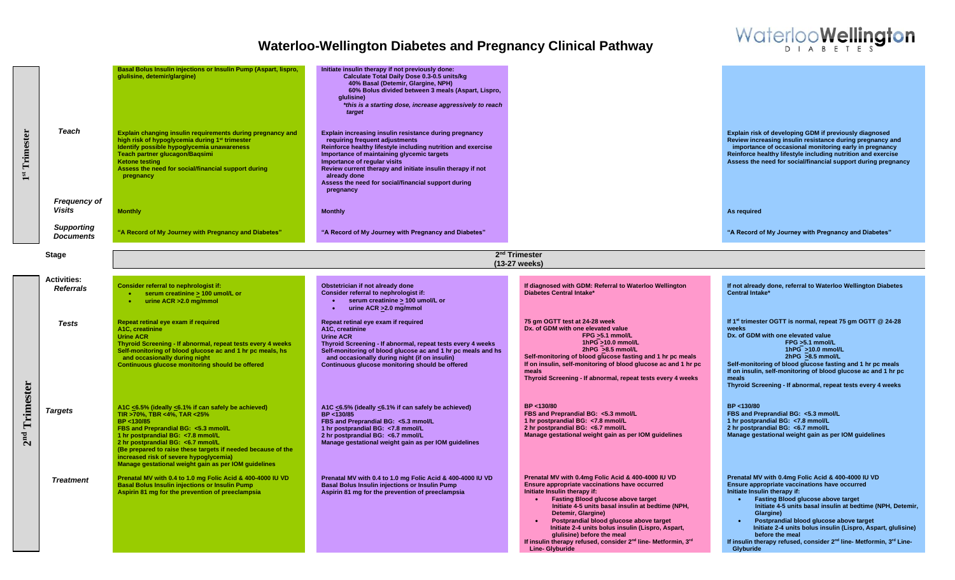

| Trimester<br>$\mathbf{a}$    | <b>Teach</b>                           | Basal Bolus Insulin injections or Insulin Pump (Aspart, lispro,<br>glulisine, detemir/glargine)<br>Explain changing insulin requirements during pregnancy and<br>high risk of hypoglycemia during 1 <sup>st</sup> trimester<br>Identify possible hypoglycemia unawareness<br>Teach partner glucagon/Bagsimi<br><b>Ketone testing</b><br>Assess the need for social/financial support during<br>pregnancy | Initiate insulin therapy if not previously done:<br>Calculate Total Daily Dose 0.3-0.5 units/kg<br>40% Basal (Detemir, Glargine, NPH)<br>60% Bolus divided between 3 meals (Aspart, Lispro,<br>alulisine)<br>*this is a starting dose, increase aggressively to reach<br>target<br>Explain increasing insulin resistance during pregnancy<br>requiring frequent adiustments<br>Reinforce healthy lifestyle including nutrition and exercise<br>Importance of maintaining glycemic targets<br>Importance of regular visits<br>Review current therapy and initiate insulin therapy if not<br>already done<br>Assess the need for social/financial support during<br>pregnancy |                                                                                                                                                                                                                                                                                                                                                                                                                                                                                                                          | Explain risk of developing GDM if previously diagnosed<br>Review increasing insulin resistance during pregnancy and<br>importance of occasional monitoring early in pregnancy<br>Reinforce healthy lifestyle including nutrition and exercise<br>Assess the need for social/financial support during pregnancy                                                                                                                                                                                        |
|------------------------------|----------------------------------------|----------------------------------------------------------------------------------------------------------------------------------------------------------------------------------------------------------------------------------------------------------------------------------------------------------------------------------------------------------------------------------------------------------|-----------------------------------------------------------------------------------------------------------------------------------------------------------------------------------------------------------------------------------------------------------------------------------------------------------------------------------------------------------------------------------------------------------------------------------------------------------------------------------------------------------------------------------------------------------------------------------------------------------------------------------------------------------------------------|--------------------------------------------------------------------------------------------------------------------------------------------------------------------------------------------------------------------------------------------------------------------------------------------------------------------------------------------------------------------------------------------------------------------------------------------------------------------------------------------------------------------------|-------------------------------------------------------------------------------------------------------------------------------------------------------------------------------------------------------------------------------------------------------------------------------------------------------------------------------------------------------------------------------------------------------------------------------------------------------------------------------------------------------|
|                              | <b>Frequency of</b><br><b>Visits</b>   | <b>Monthly</b>                                                                                                                                                                                                                                                                                                                                                                                           | <b>Monthly</b>                                                                                                                                                                                                                                                                                                                                                                                                                                                                                                                                                                                                                                                              |                                                                                                                                                                                                                                                                                                                                                                                                                                                                                                                          | As required                                                                                                                                                                                                                                                                                                                                                                                                                                                                                           |
|                              | <b>Supporting</b><br><b>Documents</b>  | "A Record of My Journey with Pregnancy and Diabetes"                                                                                                                                                                                                                                                                                                                                                     | "A Record of My Journey with Pregnancy and Diabetes"                                                                                                                                                                                                                                                                                                                                                                                                                                                                                                                                                                                                                        |                                                                                                                                                                                                                                                                                                                                                                                                                                                                                                                          | "A Record of My Journey with Pregnancy and Diabetes"                                                                                                                                                                                                                                                                                                                                                                                                                                                  |
|                              | <b>Stage</b>                           |                                                                                                                                                                                                                                                                                                                                                                                                          |                                                                                                                                                                                                                                                                                                                                                                                                                                                                                                                                                                                                                                                                             | 2 <sup>nd</sup> Trimester<br>(13-27 weeks)                                                                                                                                                                                                                                                                                                                                                                                                                                                                               |                                                                                                                                                                                                                                                                                                                                                                                                                                                                                                       |
|                              | <b>Activities:</b><br><b>Referrals</b> | Consider referral to nephrologist if:<br>• serum creatinine > 100 umol/L or<br>urine ACR > 2.0 mg/mmol<br>$\bullet$ .                                                                                                                                                                                                                                                                                    | Obstetrician if not already done<br>Consider referral to nephrologist if:<br>serum creatinine > 100 umol/L or<br>urine ACR > 2.0 mg/mmol<br>$\bullet$                                                                                                                                                                                                                                                                                                                                                                                                                                                                                                                       | If diagnosed with GDM: Referral to Waterloo Wellington<br>Diabetes Central Intake*                                                                                                                                                                                                                                                                                                                                                                                                                                       | If not already done, referral to Waterloo Wellington Diabetes<br><b>Central Intake*</b>                                                                                                                                                                                                                                                                                                                                                                                                               |
| Trimester<br>2 <sup>nd</sup> | Tests                                  | Repeat retinal eye exam if required<br>A1C. creatinine<br><b>Urine ACR</b><br>Thyroid Screening - If abnormal, repeat tests every 4 weeks<br>Self-monitoring of blood glucose ac and 1 hr pc meals, hs<br>and occasionally during night<br>Continuous glucose monitoring should be offered                                                                                                               | Repeat retinal eye exam if required<br>A <sub>1</sub> C, creatinine<br><b>Urine ACR</b><br>Thyroid Screening - If abnormal, repeat tests every 4 weeks<br>Self-monitoring of blood glucose ac and 1 hr pc meals and hs<br>and occasionally during night (if on insulin)<br>Continuous glucose monitoring should be offered                                                                                                                                                                                                                                                                                                                                                  | 75 gm OGTT test at 24-28 week<br>Dx. of GDM with one elevated value<br>FPG >5.1 mmol/L<br>1hPG >10.0 mmol/L<br>2hPG >8.5 mmol/L<br>Self-monitoring of blood glucose fasting and 1 hr pc meals<br>If on insulin, self-monitoring of blood glucose ac and 1 hr pc<br>meals<br>Thyroid Screening - If abnormal, repeat tests every 4 weeks                                                                                                                                                                                  | If 1 <sup>st</sup> trimester OGTT is normal, repeat 75 gm OGTT @ 24-28<br>weeks<br>Dx. of GDM with one elevated value<br>FPG >5.1 mmol/L<br>1hPG >10.0 mmol/L<br>2hPG >8.5 mmol/L<br>Self-monitoring of blood glucose fasting and 1 hr pc meals<br>If on insulin, self-monitoring of blood glucose ac and 1 hr pc<br>meals<br>Thyroid Screening - If abnormal, repeat tests every 4 weeks                                                                                                             |
|                              | <b>Targets</b>                         | A1C <6.5% (ideally <6.1% if can safely be achieved)<br>TIR >70%, TBR <4%, TAR <25%<br>BP <130/85<br>FBS and Preprandial BG: <5.3 mmol/L<br>1 hr postprandial BG: < 7.8 mmol/L<br>2 hr postprandial BG: <6.7 mmol/L<br>(Be prepared to raise these targets if needed because of the<br>increased risk of severe hypoglycemia)<br>Manage gestational weight gain as per IOM guidelines                     | A1C <6.5% (ideally <6.1% if can safely be achieved)<br>BP <130/85<br>FBS and Preprandial BG: <5.3 mmol/L<br>1 hr postprandial BG: <7.8 mmol/L<br>2 hr postprandial BG: <6.7 mmol/L<br>Manage gestational weight gain as per IOM guidelines                                                                                                                                                                                                                                                                                                                                                                                                                                  | BP <130/80<br>FBS and Preprandial BG: <5.3 mmol/L<br>1 hr postprandial BG: <7.8 mmol/L<br>2 hr postprandial BG: <6.7 mmol/L<br>Manage gestational weight gain as per IOM guidelines                                                                                                                                                                                                                                                                                                                                      | BP <130/80<br>FBS and Preprandial BG: <5.3 mmol/L<br>1 hr postprandial BG: < 7.8 mmol/L<br>2 hr postprandial BG: <6.7 mmol/L<br>Manage gestational weight gain as per IOM guidelines                                                                                                                                                                                                                                                                                                                  |
|                              | <b>Treatment</b>                       | Prenatal MV with 0.4 to 1.0 mg Folic Acid & 400-4000 IU VD<br><b>Basal Bolus Insulin injections or Insulin Pump</b><br>Aspirin 81 mg for the prevention of preeclampsia                                                                                                                                                                                                                                  | Prenatal MV with 0.4 to 1.0 mg Folic Acid & 400-4000 IU VD<br><b>Basal Bolus Insulin injections or Insulin Pump</b><br>Aspirin 81 mg for the prevention of preeclampsia                                                                                                                                                                                                                                                                                                                                                                                                                                                                                                     | Prenatal MV with 0.4mg Folic Acid & 400-4000 IU VD<br>Ensure appropriate vaccinations have occurred<br>Initiate Insulin therapy if:<br><b>Fasting Blood glucose above target</b><br>$\bullet$<br>Initiate 4-5 units basal insulin at bedtime (NPH,<br>Detemir, Glargine)<br>Postprandial blood glucose above target<br>Initiate 2-4 units bolus insulin (Lispro, Aspart,<br>glulisine) before the meal<br>If insulin therapy refused, consider 2 <sup>nd</sup> line- Metformin, 3 <sup>rd</sup><br><b>Line-Glyburide</b> | Prenatal MV with 0.4mg Folic Acid & 400-4000 IU VD<br>Ensure appropriate vaccinations have occurred<br>Initiate Insulin therapy if:<br><b>Fasting Blood glucose above target</b><br>Initiate 4-5 units basal insulin at bedtime (NPH, Detemir,<br>Glargine)<br>Postprandial blood glucose above target<br>Initiate 2-4 units bolus insulin (Lispro, Aspart, glulisine)<br>before the meal<br>If insulin therapy refused, consider 2 <sup>nd</sup> line- Metformin, 3 <sup>rd</sup> Line-<br>Glyburide |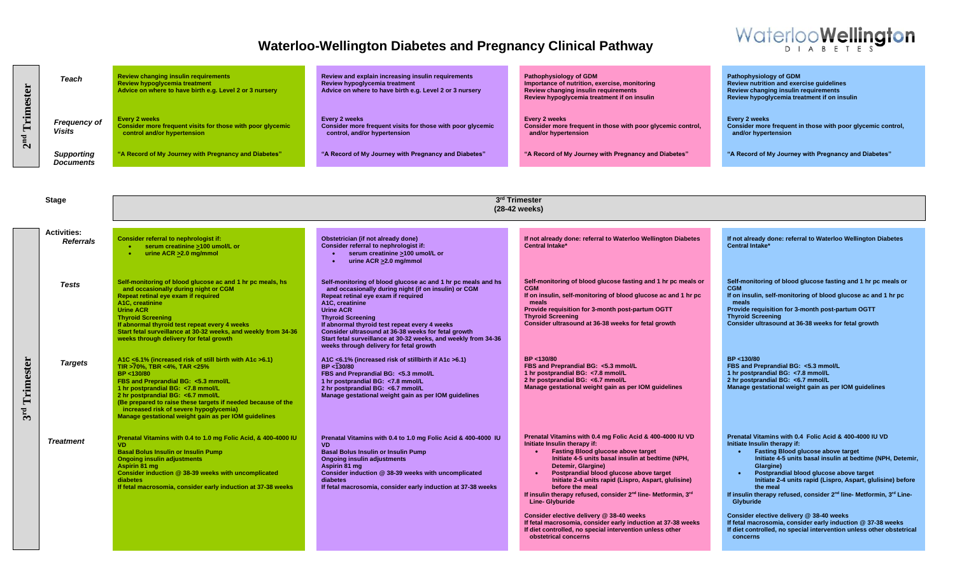

| Trimester<br>2 <sup>nd</sup> | Teach<br>Frequency of<br>Visits<br><b>Supporting</b> | <b>Review changing insulin requirements</b><br>Review hypoglycemia treatment<br>Advice on where to have birth e.g. Level 2 or 3 nursery<br><b>Every 2 weeks</b><br>Consider more frequent visits for those with poor glycemic<br>control and/or hypertension<br>"A Record of My Journey with Pregnancy and Diabetes"                                                                    | Review and explain increasing insulin requirements<br>Review hypoglycemia treatment<br>Advice on where to have birth e.g. Level 2 or 3 nursery<br><b>Every 2 weeks</b><br>Consider more frequent visits for those with poor glycemic<br>control, and/or hypertension<br>"A Record of My Journey with Pregnancy and Diabetes"                                                                                                                        | Pathophysiology of GDM<br>Importance of nutrition, exercise, monitoring<br>Review changing insulin requirements<br>Review hypoglycemia treatment if on insulin<br>Every 2 weeks<br>Consider more frequent in those with poor glycemic control,<br>and/or hypertension<br>"A Record of My Journey with Pregnancy and Diabetes"                                                                                                                                                                                                                                                                                                                              | <b>Pathophysiology of GDM</b><br>Review nutrition and exercise guidelines<br>Review changing insulin requirements<br>Review hypoglycemia treatment if on insulin<br>Every 2 weeks<br>Consider more frequent in those with poor glycemic control,<br>and/or hypertension<br>"A Record of My Journey with Pregnancy and Diabetes"                                                                                                                                                                                                                                                                                                                              |  |
|------------------------------|------------------------------------------------------|-----------------------------------------------------------------------------------------------------------------------------------------------------------------------------------------------------------------------------------------------------------------------------------------------------------------------------------------------------------------------------------------|-----------------------------------------------------------------------------------------------------------------------------------------------------------------------------------------------------------------------------------------------------------------------------------------------------------------------------------------------------------------------------------------------------------------------------------------------------|------------------------------------------------------------------------------------------------------------------------------------------------------------------------------------------------------------------------------------------------------------------------------------------------------------------------------------------------------------------------------------------------------------------------------------------------------------------------------------------------------------------------------------------------------------------------------------------------------------------------------------------------------------|--------------------------------------------------------------------------------------------------------------------------------------------------------------------------------------------------------------------------------------------------------------------------------------------------------------------------------------------------------------------------------------------------------------------------------------------------------------------------------------------------------------------------------------------------------------------------------------------------------------------------------------------------------------|--|
|                              | <b>Documents</b>                                     |                                                                                                                                                                                                                                                                                                                                                                                         |                                                                                                                                                                                                                                                                                                                                                                                                                                                     |                                                                                                                                                                                                                                                                                                                                                                                                                                                                                                                                                                                                                                                            |                                                                                                                                                                                                                                                                                                                                                                                                                                                                                                                                                                                                                                                              |  |
|                              |                                                      |                                                                                                                                                                                                                                                                                                                                                                                         |                                                                                                                                                                                                                                                                                                                                                                                                                                                     |                                                                                                                                                                                                                                                                                                                                                                                                                                                                                                                                                                                                                                                            |                                                                                                                                                                                                                                                                                                                                                                                                                                                                                                                                                                                                                                                              |  |
|                              | <b>Stage</b>                                         | 3rd Trimester<br>(28-42 weeks)                                                                                                                                                                                                                                                                                                                                                          |                                                                                                                                                                                                                                                                                                                                                                                                                                                     |                                                                                                                                                                                                                                                                                                                                                                                                                                                                                                                                                                                                                                                            |                                                                                                                                                                                                                                                                                                                                                                                                                                                                                                                                                                                                                                                              |  |
|                              | <b>Activities:</b>                                   |                                                                                                                                                                                                                                                                                                                                                                                         |                                                                                                                                                                                                                                                                                                                                                                                                                                                     |                                                                                                                                                                                                                                                                                                                                                                                                                                                                                                                                                                                                                                                            |                                                                                                                                                                                                                                                                                                                                                                                                                                                                                                                                                                                                                                                              |  |
|                              | <b>Referrals</b>                                     | Consider referral to nephrologist if:<br>serum creatinine >100 umol/L or<br>$\bullet$<br>urine ACR > 2.0 mg/mmol<br>$\bullet$                                                                                                                                                                                                                                                           | Obstetrician (if not already done)<br>Consider referral to nephrologist if:<br>serum creatinine >100 umol/L or<br>urine ACR > 2.0 mg/mmol                                                                                                                                                                                                                                                                                                           | If not already done: referral to Waterloo Wellington Diabetes<br><b>Central Intake*</b>                                                                                                                                                                                                                                                                                                                                                                                                                                                                                                                                                                    | If not already done: referral to Waterloo Wellington Diabetes<br><b>Central Intake*</b>                                                                                                                                                                                                                                                                                                                                                                                                                                                                                                                                                                      |  |
|                              | <b>Tests</b>                                         | Self-monitoring of blood glucose ac and 1 hr pc meals, hs<br>and occasionally during night or CGM<br>Repeat retinal eye exam if required<br>A <sub>1</sub> C. creatinine<br><b>Urine ACR</b><br><b>Thyroid Screening</b><br>If abnormal thyroid test repeat every 4 weeks<br>Start fetal surveillance at 30-32 weeks, and weekly from 34-36<br>weeks through delivery for fetal growth  | Self-monitoring of blood glucose ac and 1 hr pc meals and hs<br>and occasionally during night (if on insulin) or CGM<br>Repeat retinal eye exam if required<br>A1C. creatinine<br><b>Urine ACR</b><br><b>Thyroid Screening</b><br>If abnormal thyroid test repeat every 4 weeks<br>Consider ultrasound at 36-38 weeks for fetal growth<br>Start fetal surveillance at 30-32 weeks, and weekly from 34-36<br>weeks through delivery for fetal growth | Self-monitoring of blood glucose fasting and 1 hr pc meals or<br><b>CGM</b><br>If on insulin, self-monitoring of blood glucose ac and 1 hr pc<br>meals<br>Provide requisition for 3-month post-partum OGTT<br><b>Thyroid Screening</b><br>Consider ultrasound at 36-38 weeks for fetal growth                                                                                                                                                                                                                                                                                                                                                              | Self-monitoring of blood glucose fasting and 1 hr pc meals or<br><b>CGM</b><br>If on insulin, self-monitoring of blood glucose ac and 1 hr pc<br>meals<br>Provide requisition for 3-month post-partum OGTT<br><b>Thyroid Screening</b><br>Consider ultrasound at 36-38 weeks for fetal growth                                                                                                                                                                                                                                                                                                                                                                |  |
| Trimester<br>3 <sup>rd</sup> | <b>Targets</b>                                       | A1C <6.1% (increased risk of still birth with A1c >6.1)<br>TIR >70%, TBR <4%, TAR <25%<br>BP <130/80<br>FBS and Preprandial BG: <5.3 mmol/L<br>1 hr postprandial BG: <7.8 mmol/L<br>2 hr postprandial BG: <6.7 mmol/L<br>(Be prepared to raise these targets if needed because of the<br>increased risk of severe hypoglycemia)<br>Manage gestational weight gain as per IOM guidelines | A1C <6.1% (increased risk of stillbirth if A1c >6.1)<br>BP <130/80<br>FBS and Preprandial BG: <5.3 mmol/L<br>1 hr postprandial BG: <7.8 mmol/L<br>2 hr postprandial BG: <6.7 mmol/L<br>Manage gestational weight gain as per IOM guidelines                                                                                                                                                                                                         | BP <130/80<br>FBS and Preprandial BG: <5.3 mmol/L<br>1 hr postprandial BG: <7.8 mmol/L<br>2 hr postprandial BG: <6.7 mmol/L<br>Manage gestational weight gain as per IOM guidelines                                                                                                                                                                                                                                                                                                                                                                                                                                                                        | BP <130/80<br>FBS and Preprandial BG: <5.3 mmol/L<br>1 hr postprandial BG: <7.8 mmol/L<br>2 hr postprandial BG: <6.7 mmol/L<br>Manage gestational weight gain as per IOM guidelines                                                                                                                                                                                                                                                                                                                                                                                                                                                                          |  |
|                              | <b>Treatment</b>                                     | Prenatal Vitamins with 0.4 to 1.0 mg Folic Acid, & 400-4000 IU<br>VD.<br><b>Basal Bolus Insulin or Insulin Pump</b><br><b>Ongoing insulin adjustments</b><br>Aspirin 81 mg<br>Consider induction @ 38-39 weeks with uncomplicated<br>diabetes<br>If fetal macrosomia, consider early induction at 37-38 weeks                                                                           | Prenatal Vitamins with 0.4 to 1.0 mg Folic Acid & 400-4000 IU<br><b>VD</b><br><b>Basal Bolus Insulin or Insulin Pump</b><br><b>Ongoing insulin adjustments</b><br>Aspirin 81 mg<br>Consider induction @ 38-39 weeks with uncomplicated<br>diabetes<br>If fetal macrosomia, consider early induction at 37-38 weeks                                                                                                                                  | Prenatal Vitamins with 0.4 mg Folic Acid & 400-4000 IU VD<br>Initiate Insulin therapy if:<br><b>Fasting Blood glucose above target</b><br>Initiate 4-5 units basal insulin at bedtime (NPH,<br>Detemir, Glargine)<br>Postprandial blood glucose above target<br>Initiate 2-4 units rapid (Lispro, Aspart, glulisine)<br>before the meal<br>If insulin therapy refused, consider 2 <sup>nd</sup> line- Metformin, 3 <sup>rd</sup><br><b>Line- Glyburide</b><br>Consider elective delivery @ 38-40 weeks<br>If fetal macrosomia, consider early induction at 37-38 weeks<br>If diet controlled, no special intervention unless other<br>obstetrical concerns | Prenatal Vitamins with 0.4 Folic Acid & 400-4000 IU VD<br>Initiate Insulin therapy if:<br><b>Fasting Blood glucose above target</b><br>Initiate 4-5 units basal insulin at bedtime (NPH, Detemir,<br>Glargine)<br>Postprandial blood glucose above target<br>$\bullet$<br>Initiate 2-4 units rapid (Lispro, Aspart, glulisine) before<br>the meal<br>If insulin therapy refused, consider 2 <sup>nd</sup> line- Metformin, 3 <sup>rd</sup> Line-<br>Glyburide<br>Consider elective delivery @ 38-40 weeks<br>If fetal macrosomia, consider early induction @ 37-38 weeks<br>If diet controlled, no special intervention unless other obstetrical<br>concerns |  |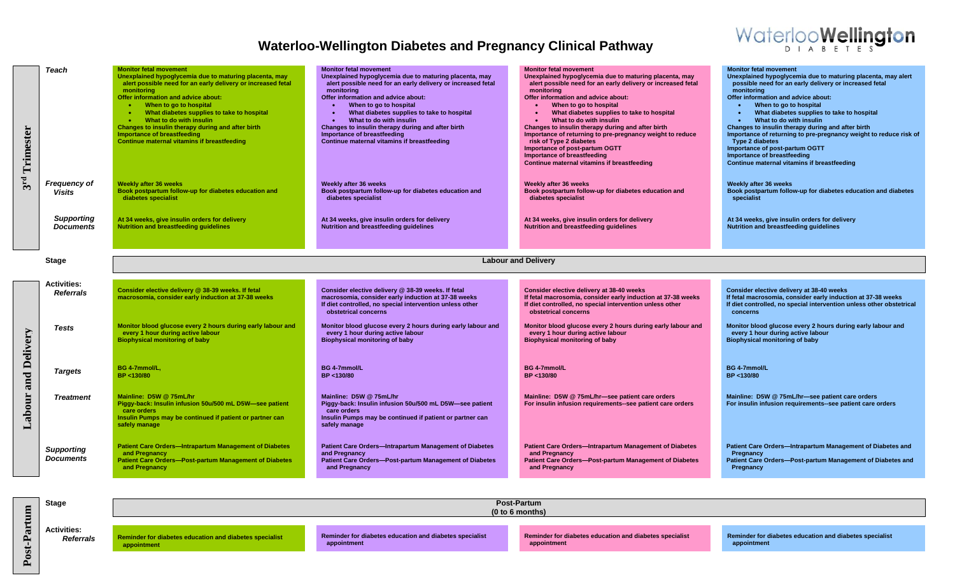

| Trimester<br>3 <sup>rd</sup> | Teach<br><b>Frequency of</b><br><b>Visits</b><br><b>Supporting</b><br><b>Documents</b> | <b>Monitor fetal movement</b><br>Unexplained hypoglycemia due to maturing placenta, may<br>alert possible need for an early delivery or increased fetal<br>monitorina<br>Offer information and advice about:<br>When to go to hospital<br>$\bullet$<br>What diabetes supplies to take to hospital<br>$\bullet$<br>What to do with insulin<br>$\bullet$<br>Changes to insulin therapy during and after birth<br>Importance of breastfeeding<br>Continue maternal vitamins if breastfeeding<br><b>Weekly after 36 weeks</b><br>Book postpartum follow-up for diabetes education and<br>diabetes specialist<br>At 34 weeks, give insulin orders for delivery<br><b>Nutrition and breastfeeding guidelines</b> | <b>Monitor fetal movement</b><br>Unexplained hypoglycemia due to maturing placenta, may<br>alert possible need for an early delivery or increased fetal<br>monitorina<br>Offer information and advice about:<br>When to go to hospital<br>What diabetes supplies to take to hospital<br>What to do with insulin<br>Changes to insulin therapy during and after birth<br>Importance of breastfeeding<br>Continue maternal vitamins if breastfeeding<br>Weekly after 36 weeks<br>Book postpartum follow-up for diabetes education and<br>diabetes specialist<br>At 34 weeks, give insulin orders for delivery<br><b>Nutrition and breastfeeding guidelines</b> | <b>Monitor fetal movement</b><br>Unexplained hypoglycemia due to maturing placenta, may<br>alert possible need for an early delivery or increased fetal<br>monitoring<br>Offer information and advice about:<br>When to go to hospital<br>What diabetes supplies to take to hospital<br>What to do with insulin<br>Changes to insulin therapy during and after birth<br>Importance of returning to pre-pregnancy weight to reduce<br>risk of Type 2 diabetes<br>Importance of post-partum OGTT<br>Importance of breastfeeding<br>Continue maternal vitamins if breastfeeding<br>Weekly after 36 weeks<br>Book postpartum follow-up for diabetes education and<br>diabetes specialist<br>At 34 weeks, give insulin orders for delivery<br>Nutrition and breastfeeding guidelines | <b>Monitor fetal movement</b><br>Unexplained hypoglycemia due to maturing placenta, may alert<br>possible need for an early delivery or increased fetal<br>monitorina<br>Offer information and advice about:<br>When to go to hospital<br>What diabetes supplies to take to hospital<br>What to do with insulin<br>$\bullet$<br>Changes to insulin therapy during and after birth<br>Importance of returning to pre-pregnancy weight to reduce risk of<br><b>Type 2 diabetes</b><br>Importance of post-partum OGTT<br>Importance of breastfeeding<br>Continue maternal vitamins if breastfeeding<br>Weekly after 36 weeks<br>Book postpartum follow-up for diabetes education and diabetes<br>specialist<br>At 34 weeks, give insulin orders for delivery<br>Nutrition and breastfeeding guidelines |  |
|------------------------------|----------------------------------------------------------------------------------------|------------------------------------------------------------------------------------------------------------------------------------------------------------------------------------------------------------------------------------------------------------------------------------------------------------------------------------------------------------------------------------------------------------------------------------------------------------------------------------------------------------------------------------------------------------------------------------------------------------------------------------------------------------------------------------------------------------|--------------------------------------------------------------------------------------------------------------------------------------------------------------------------------------------------------------------------------------------------------------------------------------------------------------------------------------------------------------------------------------------------------------------------------------------------------------------------------------------------------------------------------------------------------------------------------------------------------------------------------------------------------------|---------------------------------------------------------------------------------------------------------------------------------------------------------------------------------------------------------------------------------------------------------------------------------------------------------------------------------------------------------------------------------------------------------------------------------------------------------------------------------------------------------------------------------------------------------------------------------------------------------------------------------------------------------------------------------------------------------------------------------------------------------------------------------|-----------------------------------------------------------------------------------------------------------------------------------------------------------------------------------------------------------------------------------------------------------------------------------------------------------------------------------------------------------------------------------------------------------------------------------------------------------------------------------------------------------------------------------------------------------------------------------------------------------------------------------------------------------------------------------------------------------------------------------------------------------------------------------------------------|--|
| <b>Stage</b>                 |                                                                                        | <b>Labour and Delivery</b>                                                                                                                                                                                                                                                                                                                                                                                                                                                                                                                                                                                                                                                                                 |                                                                                                                                                                                                                                                                                                                                                                                                                                                                                                                                                                                                                                                              |                                                                                                                                                                                                                                                                                                                                                                                                                                                                                                                                                                                                                                                                                                                                                                                 |                                                                                                                                                                                                                                                                                                                                                                                                                                                                                                                                                                                                                                                                                                                                                                                                     |  |
|                              | <b>Activities:</b><br><b>Referrals</b>                                                 | Consider elective delivery @ 38-39 weeks. If fetal<br>macrosomia, consider early induction at 37-38 weeks                                                                                                                                                                                                                                                                                                                                                                                                                                                                                                                                                                                                  | Consider elective delivery @ 38-39 weeks. If fetal<br>macrosomia, consider early induction at 37-38 weeks<br>If diet controlled, no special intervention unless other<br>obstetrical concerns                                                                                                                                                                                                                                                                                                                                                                                                                                                                | Consider elective delivery at 38-40 weeks<br>If fetal macrosomia, consider early induction at 37-38 weeks<br>If diet controlled, no special intervention unless other<br>obstetrical concerns                                                                                                                                                                                                                                                                                                                                                                                                                                                                                                                                                                                   | Consider elective delivery at 38-40 weeks<br>If fetal macrosomia, consider early induction at 37-38 weeks<br>If diet controlled, no special intervention unless other obstetrical<br>concerns                                                                                                                                                                                                                                                                                                                                                                                                                                                                                                                                                                                                       |  |
|                              | Tests                                                                                  | Monitor blood glucose every 2 hours during early labour and<br>every 1 hour during active labour<br><b>Biophysical monitoring of baby</b>                                                                                                                                                                                                                                                                                                                                                                                                                                                                                                                                                                  | Monitor blood glucose every 2 hours during early labour and<br>every 1 hour during active labour<br><b>Biophysical monitoring of baby</b>                                                                                                                                                                                                                                                                                                                                                                                                                                                                                                                    | Monitor blood glucose every 2 hours during early labour and<br>every 1 hour during active labour<br><b>Biophysical monitoring of baby</b>                                                                                                                                                                                                                                                                                                                                                                                                                                                                                                                                                                                                                                       | Monitor blood glucose every 2 hours during early labour and<br>every 1 hour during active labour<br><b>Biophysical monitoring of baby</b>                                                                                                                                                                                                                                                                                                                                                                                                                                                                                                                                                                                                                                                           |  |
| and Delivery                 | <b>Targets</b>                                                                         | BG 4-7mmol/L.<br>BP <130/80                                                                                                                                                                                                                                                                                                                                                                                                                                                                                                                                                                                                                                                                                | BG 4-7mmol/L<br>BP <130/80                                                                                                                                                                                                                                                                                                                                                                                                                                                                                                                                                                                                                                   | BG 4-7mmol/L<br>BP <130/80                                                                                                                                                                                                                                                                                                                                                                                                                                                                                                                                                                                                                                                                                                                                                      | BG 4-7mmol/L<br>BP <130/80                                                                                                                                                                                                                                                                                                                                                                                                                                                                                                                                                                                                                                                                                                                                                                          |  |
| Labour                       | <b>Treatment</b>                                                                       | Mainline: D5W @ 75mL/hr<br>Piggy-back: Insulin infusion 50u/500 mL D5W-see patient<br>care orders<br>Insulin Pumps may be continued if patient or partner can<br>safely manage                                                                                                                                                                                                                                                                                                                                                                                                                                                                                                                             | Mainline: D5W @ 75mL/hr<br>Piggy-back: Insulin infusion 50u/500 mL D5W-see patient<br>care orders<br>Insulin Pumps may be continued if patient or partner can<br>safely manage                                                                                                                                                                                                                                                                                                                                                                                                                                                                               | Mainline: D5W @ 75mL/hr-see patient care orders<br>For insulin infusion requirements--see patient care orders                                                                                                                                                                                                                                                                                                                                                                                                                                                                                                                                                                                                                                                                   | Mainline: D5W @ 75mL/hr-see patient care orders<br>For insulin infusion requirements--see patient care orders                                                                                                                                                                                                                                                                                                                                                                                                                                                                                                                                                                                                                                                                                       |  |
|                              | <b>Supporting</b><br><b>Documents</b>                                                  | <b>Patient Care Orders-Intrapartum Management of Diabetes</b><br>and Pregnancy<br><b>Patient Care Orders-Post-partum Management of Diabetes</b><br>and Pregnancy                                                                                                                                                                                                                                                                                                                                                                                                                                                                                                                                           | Patient Care Orders-Intrapartum Management of Diabetes<br>and Pregnancy<br>Patient Care Orders-Post-partum Management of Diabetes<br>and Pregnancy                                                                                                                                                                                                                                                                                                                                                                                                                                                                                                           | Patient Care Orders-Intrapartum Management of Diabetes<br>and Pregnancy<br>Patient Care Orders-Post-partum Management of Diabetes<br>and Pregnancy                                                                                                                                                                                                                                                                                                                                                                                                                                                                                                                                                                                                                              | Patient Care Orders-Intrapartum Management of Diabetes and<br>Pregnancy<br>Patient Care Orders-Post-partum Management of Diabetes and<br>Pregnancy                                                                                                                                                                                                                                                                                                                                                                                                                                                                                                                                                                                                                                                  |  |

**Post-Partum**

**Activities:** 

 *Referrals* **Reminder for diabetes education and diabetes specialist appointment**

**Stage Post-Partum**

**Reminder for diabetes education and diabetes specialist appointment**

**Reminder for diabetes education and diabetes specialist appointment**

**(0 to 6 months)**

**Reminder for diabetes education and diabetes specialist appointment**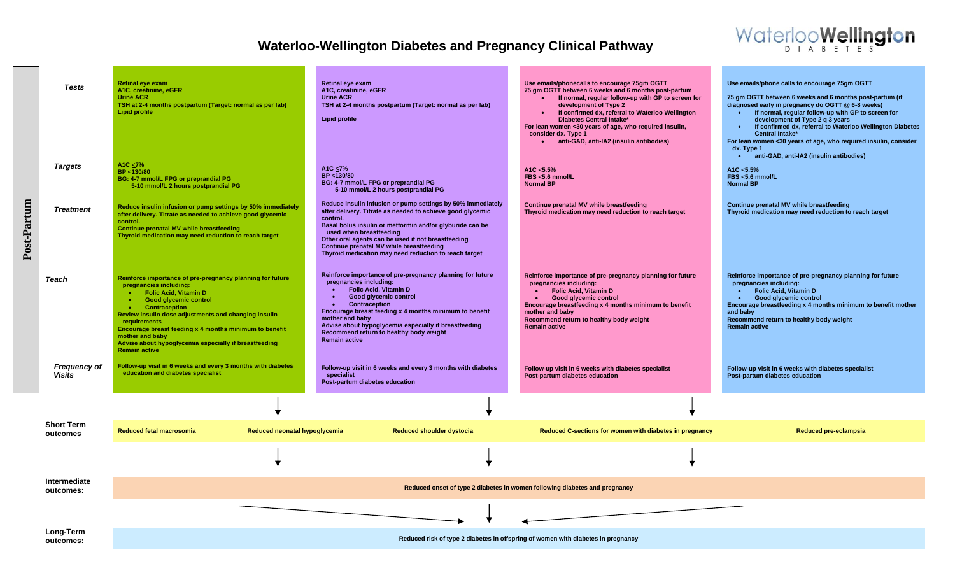

|                                                                                                            | <b>Tests</b>                         | <b>Retinal eye exam</b><br>A1C, creatinine, eGFR<br><b>Urine ACR</b><br>TSH at 2-4 months postpartum (Target: normal as per lab)<br><b>Lipid profile</b>                                                                                                                                                                                                                                                                       |                               | Retinal eye exam<br>A1C, creatinine, eGFR<br><b>Urine ACR</b><br>TSH at 2-4 months postpartum (Target: normal as per lab)<br>Lipid profile                                                                                                                                                                                                                                                 | Use emails/phonecalls to encourage 75gm OGTT<br>75 gm OGTT between 6 weeks and 6 months post-partum<br>• If normal, regular follow-up with GP to screen for<br>development of Type 2<br>If confirmed dx, referral to Waterloo Wellington<br><b>Diabetes Central Intake*</b><br>For lean women <30 years of age, who required insulin,<br>consider dx. Type 1<br>anti-GAD, anti-IA2 (insulin antibodies) | Use emails/phone calls to encourage 75gm OGTT<br>75 gm OGTT between 6 weeks and 6 months post-partum (if<br>diagnosed early in pregnancy do OGTT @ 6-8 weeks)<br>. If normal, regular follow-up with GP to screen for<br>development of Type 2 q 3 years<br>If confirmed dx, referral to Waterloo Wellington Diabetes<br><b>Central Intake*</b><br>For lean women <30 years of age, who required insulin, consider<br>$dx.$ Type 1<br>anti-GAD, anti-IA2 (insulin antibodies)<br>$\bullet$ . |
|------------------------------------------------------------------------------------------------------------|--------------------------------------|--------------------------------------------------------------------------------------------------------------------------------------------------------------------------------------------------------------------------------------------------------------------------------------------------------------------------------------------------------------------------------------------------------------------------------|-------------------------------|--------------------------------------------------------------------------------------------------------------------------------------------------------------------------------------------------------------------------------------------------------------------------------------------------------------------------------------------------------------------------------------------|---------------------------------------------------------------------------------------------------------------------------------------------------------------------------------------------------------------------------------------------------------------------------------------------------------------------------------------------------------------------------------------------------------|----------------------------------------------------------------------------------------------------------------------------------------------------------------------------------------------------------------------------------------------------------------------------------------------------------------------------------------------------------------------------------------------------------------------------------------------------------------------------------------------|
|                                                                                                            | <b>Targets</b>                       | A1C <7%<br>BP <130/80<br>BG: 4-7 mmol/L FPG or preprandial PG<br>5-10 mmol/L 2 hours postprandial PG                                                                                                                                                                                                                                                                                                                           |                               | A1C <7%<br>BP <130/80<br>BG: 4-7 mmol/L FPG or preprandial PG<br>5-10 mmol/L 2 hours postprandial PG                                                                                                                                                                                                                                                                                       | A1C < 5.5%<br>FBS <5.6 mmol/L<br><b>Normal BP</b>                                                                                                                                                                                                                                                                                                                                                       | A1C < 5.5%<br>FBS <5.6 mmol/L<br><b>Normal BP</b>                                                                                                                                                                                                                                                                                                                                                                                                                                            |
| Post-Partum                                                                                                | <b>Treatment</b>                     | Reduce insulin infusion or pump settings by 50% immediately<br>after delivery. Titrate as needed to achieve good glycemic<br>control.<br><b>Continue prenatal MV while breastfeeding</b><br>Thyroid medication may need reduction to reach target                                                                                                                                                                              |                               | Reduce insulin infusion or pump settings by 50% immediately<br>after delivery. Titrate as needed to achieve good glycemic<br>control.<br>Basal bolus insulin or metformin and/or glyburide can be<br>used when breastfeeding<br>Other oral agents can be used if not breastfeeding<br>Continue prenatal MV while breastfeeding<br>Thyroid medication may need reduction to reach target    | Continue prenatal MV while breastfeeding<br>Thyroid medication may need reduction to reach target                                                                                                                                                                                                                                                                                                       | Continue prenatal MV while breastfeeding<br>Thyroid medication may need reduction to reach target                                                                                                                                                                                                                                                                                                                                                                                            |
|                                                                                                            | Teach                                | Reinforce importance of pre-pregnancy planning for future<br>pregnancies including:<br><b>Folic Acid, Vitamin D</b><br><b>Good glycemic control</b><br>$\bullet$<br><b>Contraception</b><br>Review insulin dose adjustments and changing insulin<br>requirements<br>Encourage breast feeding x 4 months minimum to benefit<br>mother and baby<br>Advise about hypoglycemia especially if breastfeeding<br><b>Remain active</b> |                               | Reinforce importance of pre-pregnancy planning for future<br>pregnancies including:<br><b>Folic Acid, Vitamin D</b><br>Good glycemic control<br><b>Contraception</b><br>$\bullet$<br>Encourage breast feeding x 4 months minimum to benefit<br>mother and baby<br>Advise about hypoglycemia especially if breastfeeding<br>Recommend return to healthy body weight<br><b>Remain active</b> | Reinforce importance of pre-pregnancy planning for future<br>pregnancies including:<br><b>Folic Acid, Vitamin D</b><br>Good glycemic control<br>Encourage breastfeeding x 4 months minimum to benefit<br>mother and baby<br>Recommend return to healthy body weight<br><b>Remain active</b>                                                                                                             | Reinforce importance of pre-pregnancy planning for future<br>pregnancies including:<br>• Folic Acid, Vitamin D<br>Good glycemic control<br>$\bullet$ .<br><br><br><br><br><br>Encourage breastfeeding x 4 months minimum to benefit mother<br>and baby<br>Recommend return to healthy body weight<br><b>Remain active</b>                                                                                                                                                                    |
|                                                                                                            | <b>Frequency of</b><br><b>Visits</b> | Follow-up visit in 6 weeks and every 3 months with diabetes<br>education and diabetes specialist                                                                                                                                                                                                                                                                                                                               |                               | Follow-up visit in 6 weeks and every 3 months with diabetes<br>specialist<br>Post-partum diabetes education                                                                                                                                                                                                                                                                                | Follow-up visit in 6 weeks with diabetes specialist<br>Post-partum diabetes education                                                                                                                                                                                                                                                                                                                   | Follow-up visit in 6 weeks with diabetes specialist<br>Post-partum diabetes education                                                                                                                                                                                                                                                                                                                                                                                                        |
|                                                                                                            |                                      |                                                                                                                                                                                                                                                                                                                                                                                                                                |                               |                                                                                                                                                                                                                                                                                                                                                                                            |                                                                                                                                                                                                                                                                                                                                                                                                         |                                                                                                                                                                                                                                                                                                                                                                                                                                                                                              |
|                                                                                                            | <b>Short Term</b><br>outcomes        | Reduced fetal macrosomia                                                                                                                                                                                                                                                                                                                                                                                                       | Reduced neonatal hypoglycemia | <b>Reduced shoulder dystocia</b>                                                                                                                                                                                                                                                                                                                                                           | Reduced C-sections for women with diabetes in pregnancy                                                                                                                                                                                                                                                                                                                                                 | <b>Reduced pre-eclampsia</b>                                                                                                                                                                                                                                                                                                                                                                                                                                                                 |
|                                                                                                            |                                      |                                                                                                                                                                                                                                                                                                                                                                                                                                |                               |                                                                                                                                                                                                                                                                                                                                                                                            |                                                                                                                                                                                                                                                                                                                                                                                                         |                                                                                                                                                                                                                                                                                                                                                                                                                                                                                              |
|                                                                                                            | Intermediate<br>outcomes:            |                                                                                                                                                                                                                                                                                                                                                                                                                                |                               |                                                                                                                                                                                                                                                                                                                                                                                            | Reduced onset of type 2 diabetes in women following diabetes and pregnancy                                                                                                                                                                                                                                                                                                                              |                                                                                                                                                                                                                                                                                                                                                                                                                                                                                              |
|                                                                                                            |                                      |                                                                                                                                                                                                                                                                                                                                                                                                                                |                               |                                                                                                                                                                                                                                                                                                                                                                                            |                                                                                                                                                                                                                                                                                                                                                                                                         |                                                                                                                                                                                                                                                                                                                                                                                                                                                                                              |
| Long-Term<br>Reduced risk of type 2 diabetes in offspring of women with diabetes in pregnancy<br>outcomes: |                                      |                                                                                                                                                                                                                                                                                                                                                                                                                                |                               |                                                                                                                                                                                                                                                                                                                                                                                            |                                                                                                                                                                                                                                                                                                                                                                                                         |                                                                                                                                                                                                                                                                                                                                                                                                                                                                                              |